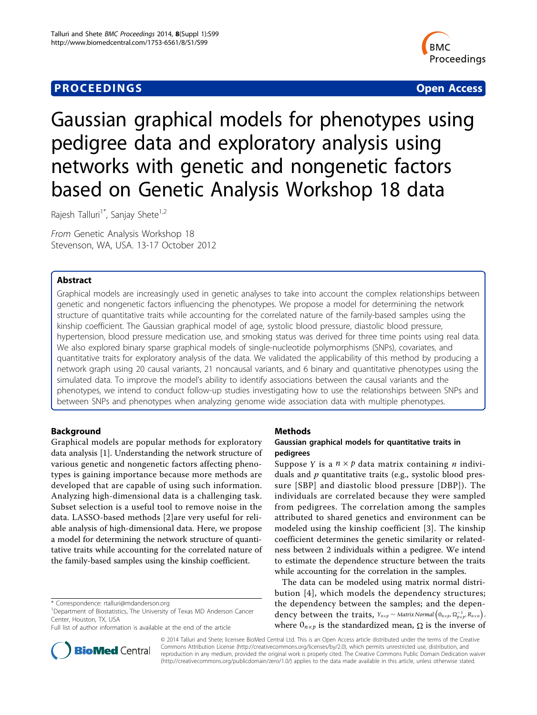# **PROCEEDINGS STATE SERVICE SERVICE SERVICE SERVICE SERVICE SERVICE SERVICE SERVICE SERVICE SERVICE SERVICE SERVICE SERVICE SERVICE SERVICE SERVICE SERVICE SERVICE SERVICE SERVICE SERVICE SERVICE SERVICE SERVICE SERVICE S**



# Gaussian graphical models for phenotypes using pedigree data and exploratory analysis using networks with genetic and nongenetic factors based on Genetic Analysis Workshop 18 data

Rajesh Talluri<sup>1\*</sup>, Sanjay Shete<sup>1,2</sup>

From Genetic Analysis Workshop 18 Stevenson, WA, USA. 13-17 October 2012

## Abstract

Graphical models are increasingly used in genetic analyses to take into account the complex relationships between genetic and nongenetic factors influencing the phenotypes. We propose a model for determining the network structure of quantitative traits while accounting for the correlated nature of the family-based samples using the kinship coefficient. The Gaussian graphical model of age, systolic blood pressure, diastolic blood pressure, hypertension, blood pressure medication use, and smoking status was derived for three time points using real data. We also explored binary sparse graphical models of single-nucleotide polymorphisms (SNPs), covariates, and quantitative traits for exploratory analysis of the data. We validated the applicability of this method by producing a network graph using 20 causal variants, 21 noncausal variants, and 6 binary and quantitative phenotypes using the simulated data. To improve the model's ability to identify associations between the causal variants and the phenotypes, we intend to conduct follow-up studies investigating how to use the relationships between SNPs and between SNPs and phenotypes when analyzing genome wide association data with multiple phenotypes.

## Background

Graphical models are popular methods for exploratory data analysis [\[1](#page-4-0)]. Understanding the network structure of various genetic and nongenetic factors affecting phenotypes is gaining importance because more methods are developed that are capable of using such information. Analyzing high-dimensional data is a challenging task. Subset selection is a useful tool to remove noise in the data. LASSO-based methods [\[2](#page-4-0)]are very useful for reliable analysis of high-dimensional data. Here, we propose a model for determining the network structure of quantitative traits while accounting for the correlated nature of the family-based samples using the kinship coefficient.

## Methods

### Gaussian graphical models for quantitative traits in pedigrees

Suppose *Y* is a  $n \times p$  data matrix containing *n* individuals and  $p$  quantitative traits (e.g., systolic blood pressure [SBP] and diastolic blood pressure [DBP]). The individuals are correlated because they were sampled from pedigrees. The correlation among the samples attributed to shared genetics and environment can be modeled using the kinship coefficient [[3](#page-4-0)]. The kinship coefficient determines the genetic similarity or relatedness between 2 individuals within a pedigree. We intend to estimate the dependence structure between the traits while accounting for the correlation in the samples.

The data can be modeled using matrix normal distribution [\[4\]](#page-4-0), which models the dependency structures; the dependency between the samples; and the dependency between the traits,  $Y_{n\times p} \sim$  *Matrix Normal*  $\left(0_{n\times p}, \Omega_{p\times p}^{-1}, R_{n\times n}\right)$ , where  $0_{n \times p}$  is the standardized mean,  $\Omega$  is the inverse of



© 2014 Talluri and Shete; licensee BioMed Central Ltd. This is an Open Access article distributed under the terms of the Creative Commons Attribution License [\(http://creativecommons.org/licenses/by/2.0](http://creativecommons.org/licenses/by/2.0)), which permits unrestricted use, distribution, and reproduction in any medium, provided the original work is properly cited. The Creative Commons Public Domain Dedication waiver [\(http://creativecommons.org/publicdomain/zero/1.0/](http://creativecommons.org/publicdomain/zero/1.0/)) applies to the data made available in this article, unless otherwise stated.

<sup>\*</sup> Correspondence: [rtalluri@mdanderson.org](mailto:rtalluri@mdanderson.org)

<sup>&</sup>lt;sup>1</sup>Department of Biostatistics, The University of Texas MD Anderson Cancer Center, Houston, TX, USA

Full list of author information is available at the end of the article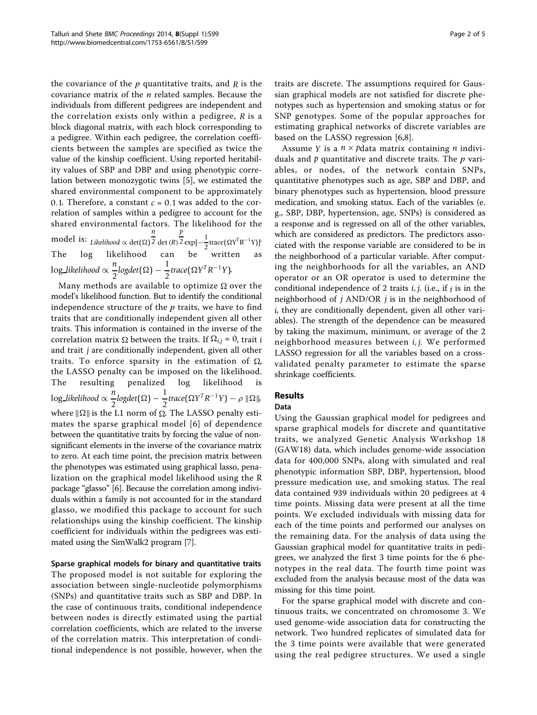the covariance of the p quantitative traits, and *R* is the covariance matrix of the  $n$  related samples. Because the individuals from different pedigrees are independent and the correlation exists only within a pedigree, *R* is a block diagonal matrix, with each block corresponding to a pedigree. Within each pedigree, the correlation coefficients between the samples are specified as twice the value of the kinship coefficient. Using reported heritability values of SBP and DBP and using phenotypic correlation between monozygotic twins [[5\]](#page-4-0), we estimated the shared environmental component to be approximately 0.1. Therefore, a constant  $c = 0.1$  was added to the correlation of samples within a pedigree to account for the shared environmental factors. The likelihood for the model is: <sub>Likelihood ∝ det(Ω)</sub> *n* 2 det(*R*)  $\frac{p}{2}$  exp[ $-\frac{1}{2}$ trace( $\Omega$ Y<sup>T</sup>R<sup>-1</sup>Y)]<sup>\*</sup> The log likelihood can be written as log *likelihood* ∝ *n*  $\frac{n}{2}$ logdet( $\Omega$ ) –  $\frac{1}{2}$ trace( $\Omega Y^T R^{-1}Y$ ).

Many methods are available to optimize  $\Omega$  over the model's likelihood function. But to identify the conditional independence structure of the  $p$  traits, we have to find traits that are conditionally independent given all other traits. This information is contained in the inverse of the correlation matrix  $\Omega$  between the traits. If  $\Omega_{i,j} = 0$ , trait *i* and trait *j* are conditionally independent, given all other traits. To enforce sparsity in the estimation of  $\Omega$ , the LASSO penalty can be imposed on the likelihood. The resulting penalized log likelihood log *likelihood* ∝ *n*  $\frac{n}{2}$ logdet( $\Omega$ ) –  $\frac{1}{2}$ trace( $\Omega Y^T R^{-1} Y$ ) – ρ  $\|\Omega\|$ where  $\|\Omega\|$  is the L1 norm of  $\Omega$ . The LASSO penalty estimates the sparse graphical model [[6](#page-4-0)] of dependence between the quantitative traits by forcing the value of nonsignificant elements in the inverse of the covariance matrix to zero. At each time point, the precision matrix between the phenotypes was estimated using graphical lasso, penalization on the graphical model likelihood using the R package "glasso" [\[6](#page-4-0)]. Because the correlation among individuals within a family is not accounted for in the standard glasso, we modified this package to account for such relationships using the kinship coefficient. The kinship coefficient for individuals within the pedigrees was estimated using the SimWalk2 program [\[7](#page-4-0)].

Sparse graphical models for binary and quantitative traits The proposed model is not suitable for exploring the association between single-nucleotide polymorphisms (SNPs) and quantitative traits such as SBP and DBP. In the case of continuous traits, conditional independence between nodes is directly estimated using the partial correlation coefficients, which are related to the inverse of the correlation matrix. This interpretation of conditional independence is not possible, however, when the traits are discrete. The assumptions required for Gaussian graphical models are not satisfied for discrete phenotypes such as hypertension and smoking status or for SNP genotypes. Some of the popular approaches for estimating graphical networks of discrete variables are based on the LASSO regression [\[6,8](#page-4-0)].

Assume *Y* is a *n* × *p*data matrix containing *n* individuals and *p* quantitative and discrete traits. The p variables, or nodes, of the network contain SNPs, quantitative phenotypes such as age, SBP and DBP, and binary phenotypes such as hypertension, blood pressure medication, and smoking status. Each of the variables (e. g., SBP, DBP, hypertension, age, SNPs) is considered as a response and is regressed on all of the other variables, which are considered as predictors. The predictors associated with the response variable are considered to be in the neighborhood of a particular variable. After computing the neighborhoods for all the variables, an AND operator or an OR operator is used to determine the conditional independence of 2 traits *i*, *j*. (i.e., if *i* is in the neighborhood of *j* AND/OR *j* is in the neighborhood of *i*, they are conditionally dependent, given all other variables). The strength of the dependence can be measured by taking the maximum, minimum, or average of the 2 neighborhood measures between *i*, *j*. We performed LASSO regression for all the variables based on a crossvalidated penalty parameter to estimate the sparse shrinkage coefficients.

## Results

## Data

Using the Gaussian graphical model for pedigrees and sparse graphical models for discrete and quantitative traits, we analyzed Genetic Analysis Workshop 18 (GAW18) data, which includes genome-wide association data for 400,000 SNPs, along with simulated and real phenotypic information SBP, DBP, hypertension, blood pressure medication use, and smoking status. The real data contained 939 individuals within 20 pedigrees at 4 time points. Missing data were present at all the time points. We excluded individuals with missing data for each of the time points and performed our analyses on the remaining data. For the analysis of data using the Gaussian graphical model for quantitative traits in pedigrees, we analyzed the first 3 time points for the 6 phenotypes in the real data. The fourth time point was excluded from the analysis because most of the data was missing for this time point.

For the sparse graphical model with discrete and continuous traits, we concentrated on chromosome 3. We used genome-wide association data for constructing the network. Two hundred replicates of simulated data for the 3 time points were available that were generated using the real pedigree structures. We used a single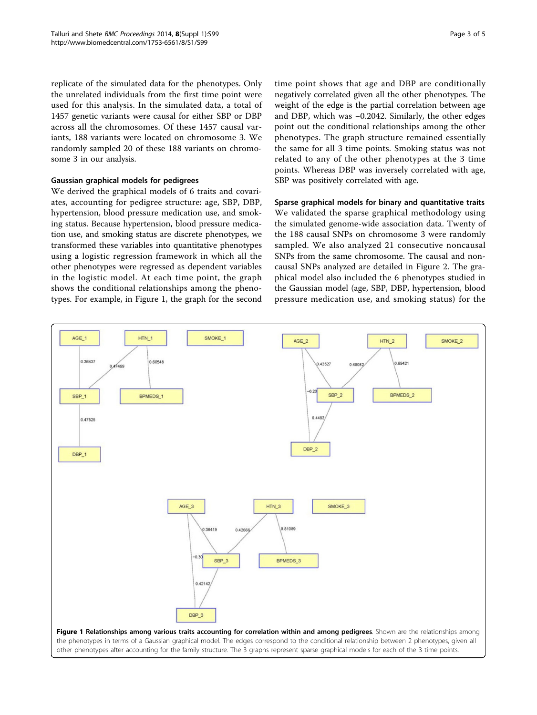replicate of the simulated data for the phenotypes. Only the unrelated individuals from the first time point were used for this analysis. In the simulated data, a total of 1457 genetic variants were causal for either SBP or DBP across all the chromosomes. Of these 1457 causal variants, 188 variants were located on chromosome 3. We randomly sampled 20 of these 188 variants on chromosome 3 in our analysis.

## Gaussian graphical models for pedigrees

We derived the graphical models of 6 traits and covariates, accounting for pedigree structure: age, SBP, DBP, hypertension, blood pressure medication use, and smoking status. Because hypertension, blood pressure medication use, and smoking status are discrete phenotypes, we transformed these variables into quantitative phenotypes using a logistic regression framework in which all the other phenotypes were regressed as dependent variables in the logistic model. At each time point, the graph shows the conditional relationships among the phenotypes. For example, in Figure 1, the graph for the second

time point shows that age and DBP are conditionally negatively correlated given all the other phenotypes. The weight of the edge is the partial correlation between age and DBP, which was −0.2042. Similarly, the other edges point out the conditional relationships among the other phenotypes. The graph structure remained essentially the same for all 3 time points. Smoking status was not related to any of the other phenotypes at the 3 time points. Whereas DBP was inversely correlated with age, SBP was positively correlated with age.

## Sparse graphical models for binary and quantitative traits

We validated the sparse graphical methodology using the simulated genome-wide association data. Twenty of the 188 causal SNPs on chromosome 3 were randomly sampled. We also analyzed 21 consecutive noncausal SNPs from the same chromosome. The causal and noncausal SNPs analyzed are detailed in Figure [2](#page-3-0). The graphical model also included the 6 phenotypes studied in the Gaussian model (age, SBP, DBP, hypertension, blood pressure medication use, and smoking status) for the

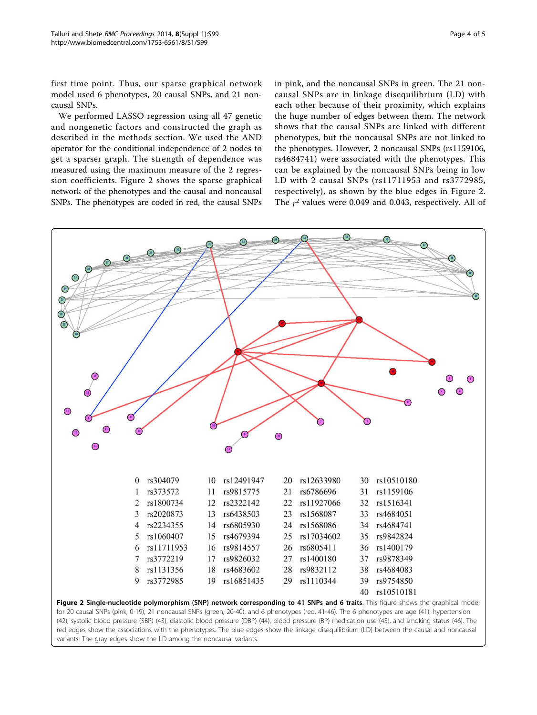<span id="page-3-0"></span>first time point. Thus, our sparse graphical network model used 6 phenotypes, 20 causal SNPs, and 21 noncausal SNPs.

We performed LASSO regression using all 47 genetic and nongenetic factors and constructed the graph as described in the methods section. We used the AND operator for the conditional independence of 2 nodes to get a sparser graph. The strength of dependence was measured using the maximum measure of the 2 regression coefficients. Figure 2 shows the sparse graphical network of the phenotypes and the causal and noncausal SNPs. The phenotypes are coded in red, the causal SNPs in pink, and the noncausal SNPs in green. The 21 noncausal SNPs are in linkage disequilibrium (LD) with each other because of their proximity, which explains the huge number of edges between them. The network shows that the causal SNPs are linked with different phenotypes, but the noncausal SNPs are not linked to the phenotypes. However, 2 noncausal SNPs (rs1159106, rs4684741) were associated with the phenotypes. This can be explained by the noncausal SNPs being in low LD with 2 causal SNPs (rs11711953 and rs3772985, respectively), as shown by the blue edges in Figure 2. The  $r^2$  values were 0.049 and 0.043, respectively. All of



variants. The gray edges show the LD among the noncausal variants.